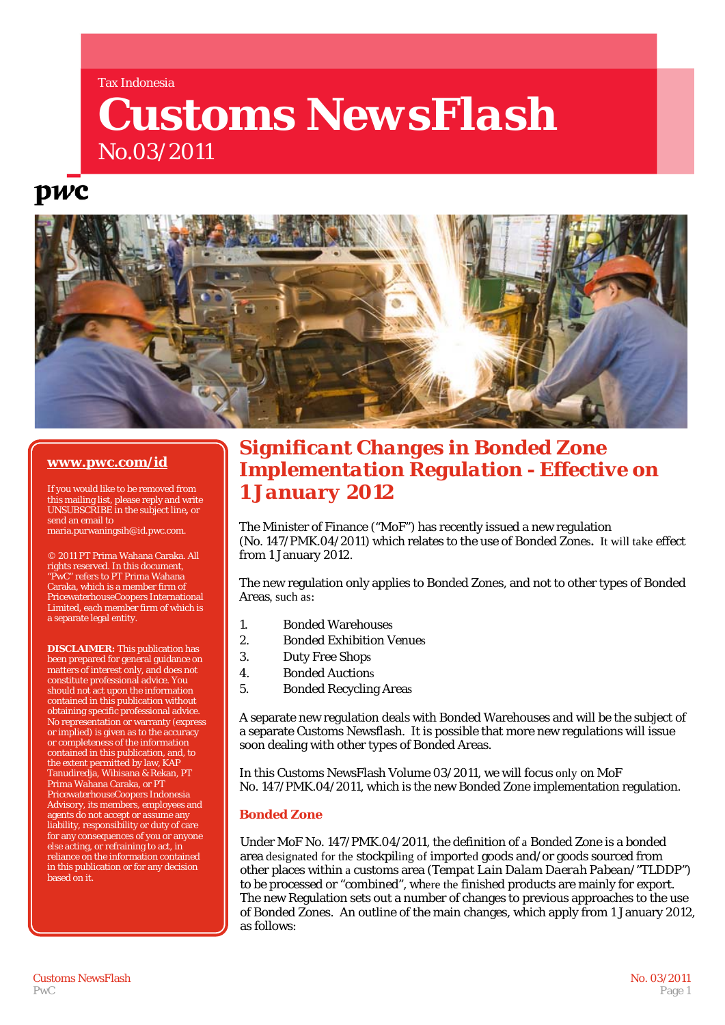#### Tax Indonesia

# *Customs NewsFlash* No.03/2011

## **DWC**



## **[www.pwc.com/id](http://www.pwc.com/id)**

If you would like to be removed from this mailing list, please reply and write UNSUBSCRIBE in the subject line**,** or send an email to maria.purwaningsih@id.pwc.com.

© 2011 PT Prima Wahana Caraka. All rights reserved. In this document, "PwC" refers to PT Prima Wahana Caraka, which is a member firm of PricewaterhouseCoopers International Limited, each member firm of which is a separate legal entity.

**DISCLAIMER:** This publication has been prepared for general guidance on matters of interest only, and does not constitute professional advice. You should not act upon the information contained in this publication without obtaining specific professional advice. No representation or warranty (express or implied) is given as to the accuracy or completeness of the information contained in this publication, and, to the extent permitted by law, KAP Tanudiredja, Wibisana & Rekan, PT Prima Wahana Caraka, or PT PricewaterhouseCoopers Indonesia Advisory, its members, employees and agents do not accept or assume any liability, responsibility or duty of care for any consequences of you or anyone else acting, or refraining to act, in reliance on the information contained in this publication or for any decision based on it.

## *Significant Changes in Bonded Zone Implementation Regulation - Effective on 1 January 2012*

The Minister of Finance ("MoF") has recently issued a new regulation (No. 147/PMK.04/2011) which relates to the use of Bonded Zones**.** It will take effect from 1 January 2012.

The new regulation only applies to Bonded Zones, and not to other types of Bonded Areas, such as:

- 1. Bonded Warehouses
- 2. Bonded Exhibition Venues
- 3. Duty Free Shops
- 4. Bonded Auctions
- 5. Bonded Recycling Areas

A separate new regulation deals with Bonded Warehouses and will be the subject of a separate Customs Newsflash. It is possible that more new regulations will issue soon dealing with other types of Bonded Areas.

In this Customs NewsFlash Volume 03/2011, we will focus only on MoF No. 147/PMK.04/2011, which is the new Bonded Zone implementation regulation.

## **Bonded Zone**

Under MoF No. 147/PMK.04/2011, the definition of a Bonded Zone is a bonded area designated for the stockpiling of imported goods and/or goods sourced from other places within a customs area *(Tempat Lain Dalam Daerah Pabean/"TLDDP")*  to be processed or "combined", where the finished products are mainly for export. The new Regulation sets out a number of changes to previous approaches to the use of Bonded Zones. An outline of the main changes, which apply from 1 January 2012, as follows: